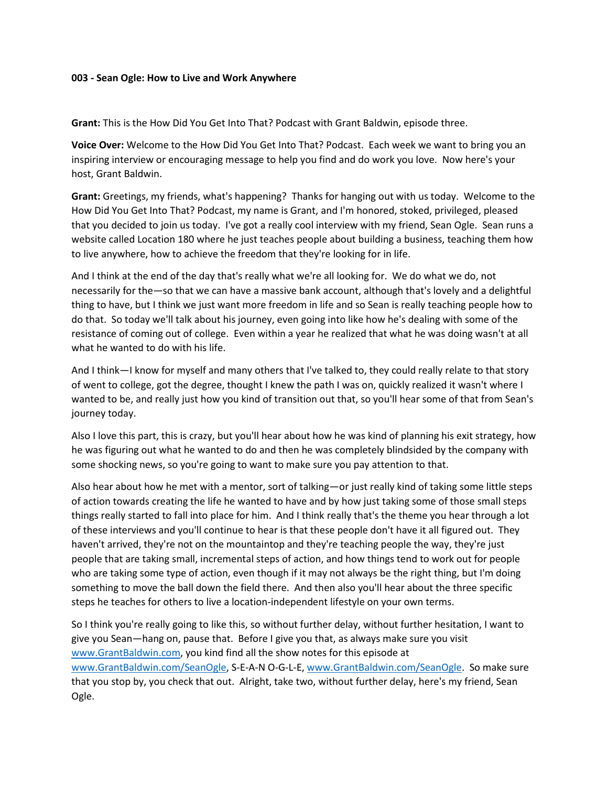#### **003 - Sean Ogle: How to Live and Work Anywhere**

**Grant:** This is the How Did You Get Into That? Podcast with Grant Baldwin, episode three.

**Voice Over:** Welcome to the How Did You Get Into That? Podcast. Each week we want to bring you an inspiring interview or encouraging message to help you find and do work you love. Now here's your host, Grant Baldwin.

**Grant:** Greetings, my friends, what's happening? Thanks for hanging out with us today. Welcome to the How Did You Get Into That? Podcast, my name is Grant, and I'm honored, stoked, privileged, pleased that you decided to join us today. I've got a really cool interview with my friend, Sean Ogle. Sean runs a website called Location 180 where he just teaches people about building a business, teaching them how to live anywhere, how to achieve the freedom that they're looking for in life.

And I think at the end of the day that's really what we're all looking for. We do what we do, not necessarily for the—so that we can have a massive bank account, although that's lovely and a delightful thing to have, but I think we just want more freedom in life and so Sean is really teaching people how to do that. So today we'll talk about his journey, even going into like how he's dealing with some of the resistance of coming out of college. Even within a year he realized that what he was doing wasn't at all what he wanted to do with his life.

And I think—I know for myself and many others that I've talked to, they could really relate to that story of went to college, got the degree, thought I knew the path I was on, quickly realized it wasn't where I wanted to be, and really just how you kind of transition out that, so you'll hear some of that from Sean's journey today.

Also I love this part, this is crazy, but you'll hear about how he was kind of planning his exit strategy, how he was figuring out what he wanted to do and then he was completely blindsided by the company with some shocking news, so you're going to want to make sure you pay attention to that.

Also hear about how he met with a mentor, sort of talking—or just really kind of taking some little steps of action towards creating the life he wanted to have and by how just taking some of those small steps things really started to fall into place for him. And I think really that's the theme you hear through a lot of these interviews and you'll continue to hear is that these people don't have it all figured out. They haven't arrived, they're not on the mountaintop and they're teaching people the way, they're just people that are taking small, incremental steps of action, and how things tend to work out for people who are taking some type of action, even though if it may not always be the right thing, but I'm doing something to move the ball down the field there. And then also you'll hear about the three specific steps he teaches for others to live a location-independent lifestyle on your own terms.

So I think you're really going to like this, so without further delay, without further hesitation, I want to give you Sean—hang on, pause that. Before I give you that, as always make sure you visit [www.GrantBaldwin.com,](http://www.grantbaldwin.com/) you kind find all the show notes for this episode at [www.GrantBaldwin.com/SeanOgle,](http://www.grantbaldwin.com/SeanOgle) S-E-A-N O-G-L-E, [www.GrantBaldwin.com/SeanOgle.](http://www.grantbaldwin.com/SeanOgle) So make sure that you stop by, you check that out. Alright, take two, without further delay, here's my friend, Sean Ogle.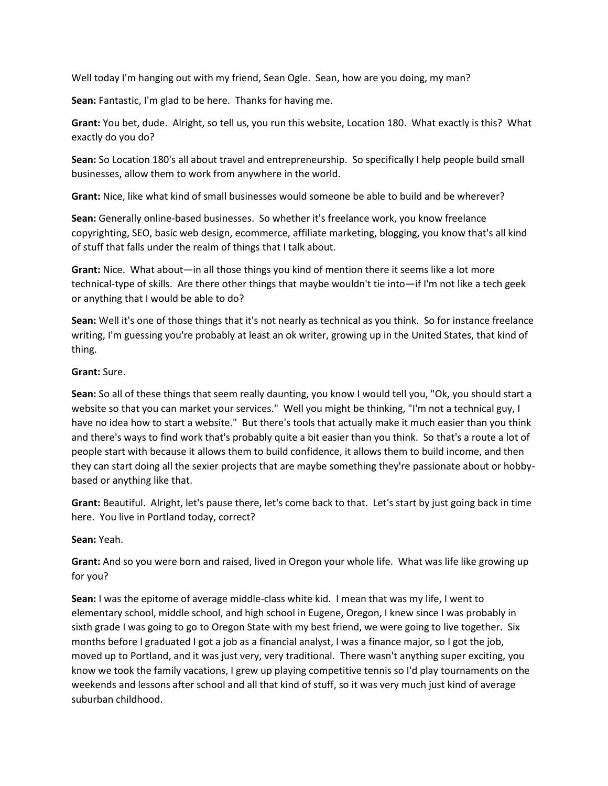Well today I'm hanging out with my friend, Sean Ogle. Sean, how are you doing, my man?

**Sean:** Fantastic, I'm glad to be here. Thanks for having me.

**Grant:** You bet, dude. Alright, so tell us, you run this website, Location 180. What exactly is this? What exactly do you do?

**Sean:** So Location 180's all about travel and entrepreneurship. So specifically I help people build small businesses, allow them to work from anywhere in the world.

**Grant:** Nice, like what kind of small businesses would someone be able to build and be wherever?

**Sean:** Generally online-based businesses. So whether it's freelance work, you know freelance copyrighting, SEO, basic web design, ecommerce, affiliate marketing, blogging, you know that's all kind of stuff that falls under the realm of things that I talk about.

**Grant:** Nice. What about—in all those things you kind of mention there it seems like a lot more technical-type of skills. Are there other things that maybe wouldn't tie into—if I'm not like a tech geek or anything that I would be able to do?

**Sean:** Well it's one of those things that it's not nearly as technical as you think. So for instance freelance writing, I'm guessing you're probably at least an ok writer, growing up in the United States, that kind of thing.

## **Grant:** Sure.

**Sean:** So all of these things that seem really daunting, you know I would tell you, "Ok, you should start a website so that you can market your services." Well you might be thinking, "I'm not a technical guy, I have no idea how to start a website." But there's tools that actually make it much easier than you think and there's ways to find work that's probably quite a bit easier than you think. So that's a route a lot of people start with because it allows them to build confidence, it allows them to build income, and then they can start doing all the sexier projects that are maybe something they're passionate about or hobbybased or anything like that.

**Grant:** Beautiful. Alright, let's pause there, let's come back to that. Let's start by just going back in time here. You live in Portland today, correct?

# **Sean:** Yeah.

**Grant:** And so you were born and raised, lived in Oregon your whole life. What was life like growing up for you?

**Sean:** I was the epitome of average middle-class white kid. I mean that was my life, I went to elementary school, middle school, and high school in Eugene, Oregon, I knew since I was probably in sixth grade I was going to go to Oregon State with my best friend, we were going to live together. Six months before I graduated I got a job as a financial analyst, I was a finance major, so I got the job, moved up to Portland, and it was just very, very traditional. There wasn't anything super exciting, you know we took the family vacations, I grew up playing competitive tennis so I'd play tournaments on the weekends and lessons after school and all that kind of stuff, so it was very much just kind of average suburban childhood.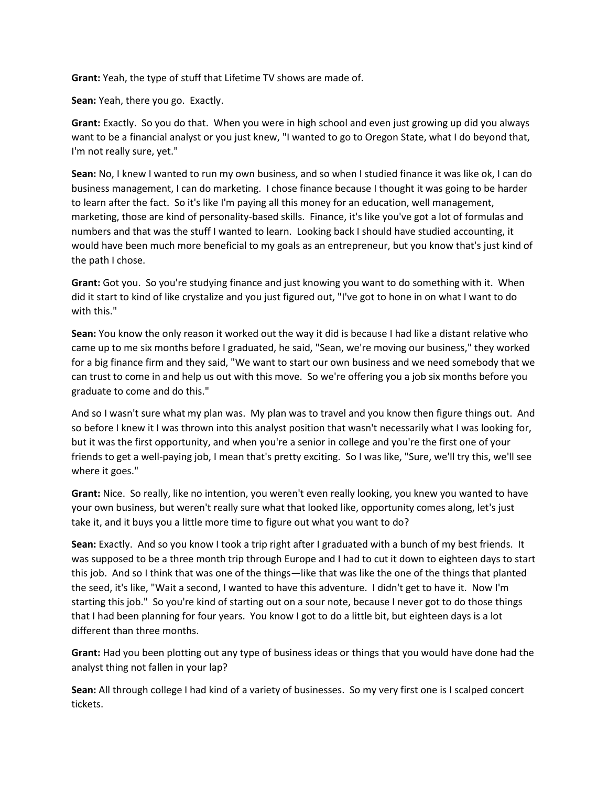**Grant:** Yeah, the type of stuff that Lifetime TV shows are made of.

**Sean:** Yeah, there you go. Exactly.

**Grant:** Exactly. So you do that. When you were in high school and even just growing up did you always want to be a financial analyst or you just knew, "I wanted to go to Oregon State, what I do beyond that, I'm not really sure, yet."

**Sean:** No, I knew I wanted to run my own business, and so when I studied finance it was like ok, I can do business management, I can do marketing. I chose finance because I thought it was going to be harder to learn after the fact. So it's like I'm paying all this money for an education, well management, marketing, those are kind of personality-based skills. Finance, it's like you've got a lot of formulas and numbers and that was the stuff I wanted to learn. Looking back I should have studied accounting, it would have been much more beneficial to my goals as an entrepreneur, but you know that's just kind of the path I chose.

**Grant:** Got you. So you're studying finance and just knowing you want to do something with it. When did it start to kind of like crystalize and you just figured out, "I've got to hone in on what I want to do with this."

**Sean:** You know the only reason it worked out the way it did is because I had like a distant relative who came up to me six months before I graduated, he said, "Sean, we're moving our business," they worked for a big finance firm and they said, "We want to start our own business and we need somebody that we can trust to come in and help us out with this move. So we're offering you a job six months before you graduate to come and do this."

And so I wasn't sure what my plan was. My plan was to travel and you know then figure things out. And so before I knew it I was thrown into this analyst position that wasn't necessarily what I was looking for, but it was the first opportunity, and when you're a senior in college and you're the first one of your friends to get a well-paying job, I mean that's pretty exciting. So I was like, "Sure, we'll try this, we'll see where it goes."

**Grant:** Nice. So really, like no intention, you weren't even really looking, you knew you wanted to have your own business, but weren't really sure what that looked like, opportunity comes along, let's just take it, and it buys you a little more time to figure out what you want to do?

**Sean:** Exactly. And so you know I took a trip right after I graduated with a bunch of my best friends. It was supposed to be a three month trip through Europe and I had to cut it down to eighteen days to start this job. And so I think that was one of the things—like that was like the one of the things that planted the seed, it's like, "Wait a second, I wanted to have this adventure. I didn't get to have it. Now I'm starting this job." So you're kind of starting out on a sour note, because I never got to do those things that I had been planning for four years. You know I got to do a little bit, but eighteen days is a lot different than three months.

**Grant:** Had you been plotting out any type of business ideas or things that you would have done had the analyst thing not fallen in your lap?

**Sean:** All through college I had kind of a variety of businesses. So my very first one is I scalped concert tickets.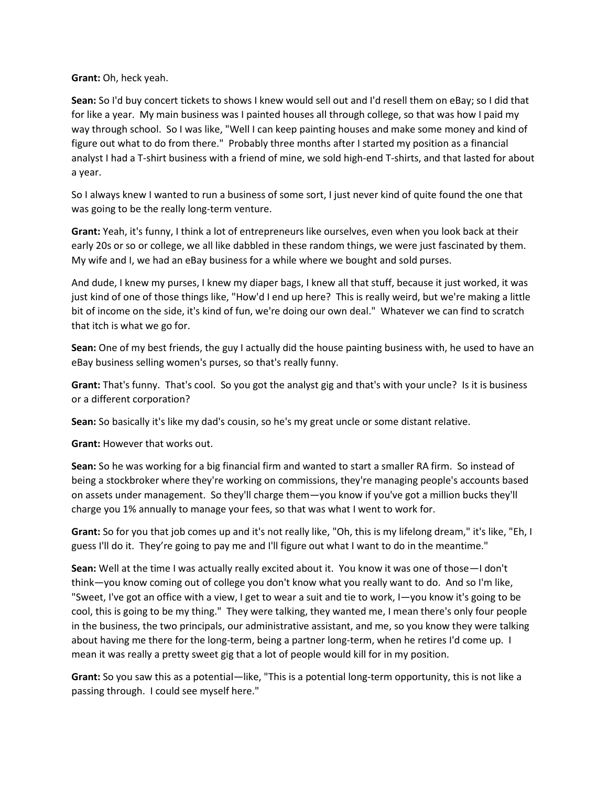**Grant:** Oh, heck yeah.

**Sean:** So I'd buy concert tickets to shows I knew would sell out and I'd resell them on eBay; so I did that for like a year. My main business was I painted houses all through college, so that was how I paid my way through school. So I was like, "Well I can keep painting houses and make some money and kind of figure out what to do from there." Probably three months after I started my position as a financial analyst I had a T-shirt business with a friend of mine, we sold high-end T-shirts, and that lasted for about a year.

So I always knew I wanted to run a business of some sort, I just never kind of quite found the one that was going to be the really long-term venture.

**Grant:** Yeah, it's funny, I think a lot of entrepreneurs like ourselves, even when you look back at their early 20s or so or college, we all like dabbled in these random things, we were just fascinated by them. My wife and I, we had an eBay business for a while where we bought and sold purses.

And dude, I knew my purses, I knew my diaper bags, I knew all that stuff, because it just worked, it was just kind of one of those things like, "How'd I end up here? This is really weird, but we're making a little bit of income on the side, it's kind of fun, we're doing our own deal." Whatever we can find to scratch that itch is what we go for.

**Sean:** One of my best friends, the guy I actually did the house painting business with, he used to have an eBay business selling women's purses, so that's really funny.

**Grant:** That's funny. That's cool. So you got the analyst gig and that's with your uncle? Is it is business or a different corporation?

**Sean:** So basically it's like my dad's cousin, so he's my great uncle or some distant relative.

**Grant:** However that works out.

**Sean:** So he was working for a big financial firm and wanted to start a smaller RA firm. So instead of being a stockbroker where they're working on commissions, they're managing people's accounts based on assets under management. So they'll charge them—you know if you've got a million bucks they'll charge you 1% annually to manage your fees, so that was what I went to work for.

**Grant:** So for you that job comes up and it's not really like, "Oh, this is my lifelong dream," it's like, "Eh, I guess I'll do it. They're going to pay me and I'll figure out what I want to do in the meantime."

**Sean:** Well at the time I was actually really excited about it. You know it was one of those—I don't think—you know coming out of college you don't know what you really want to do. And so I'm like, "Sweet, I've got an office with a view, I get to wear a suit and tie to work, I—you know it's going to be cool, this is going to be my thing." They were talking, they wanted me, I mean there's only four people in the business, the two principals, our administrative assistant, and me, so you know they were talking about having me there for the long-term, being a partner long-term, when he retires I'd come up. I mean it was really a pretty sweet gig that a lot of people would kill for in my position.

**Grant:** So you saw this as a potential—like, "This is a potential long-term opportunity, this is not like a passing through. I could see myself here."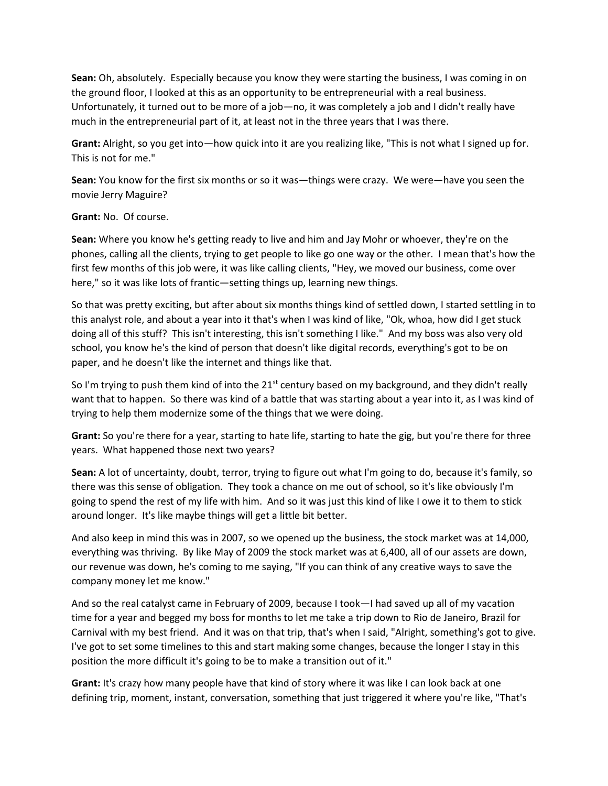**Sean:** Oh, absolutely. Especially because you know they were starting the business, I was coming in on the ground floor, I looked at this as an opportunity to be entrepreneurial with a real business. Unfortunately, it turned out to be more of a job—no, it was completely a job and I didn't really have much in the entrepreneurial part of it, at least not in the three years that I was there.

**Grant:** Alright, so you get into—how quick into it are you realizing like, "This is not what I signed up for. This is not for me."

**Sean:** You know for the first six months or so it was—things were crazy. We were—have you seen the movie Jerry Maguire?

### **Grant:** No. Of course.

**Sean:** Where you know he's getting ready to live and him and Jay Mohr or whoever, they're on the phones, calling all the clients, trying to get people to like go one way or the other. I mean that's how the first few months of this job were, it was like calling clients, "Hey, we moved our business, come over here," so it was like lots of frantic—setting things up, learning new things.

So that was pretty exciting, but after about six months things kind of settled down, I started settling in to this analyst role, and about a year into it that's when I was kind of like, "Ok, whoa, how did I get stuck doing all of this stuff? This isn't interesting, this isn't something I like." And my boss was also very old school, you know he's the kind of person that doesn't like digital records, everything's got to be on paper, and he doesn't like the internet and things like that.

So I'm trying to push them kind of into the  $21^{st}$  century based on my background, and they didn't really want that to happen. So there was kind of a battle that was starting about a year into it, as I was kind of trying to help them modernize some of the things that we were doing.

**Grant:** So you're there for a year, starting to hate life, starting to hate the gig, but you're there for three years. What happened those next two years?

**Sean:** A lot of uncertainty, doubt, terror, trying to figure out what I'm going to do, because it's family, so there was this sense of obligation. They took a chance on me out of school, so it's like obviously I'm going to spend the rest of my life with him. And so it was just this kind of like I owe it to them to stick around longer. It's like maybe things will get a little bit better.

And also keep in mind this was in 2007, so we opened up the business, the stock market was at 14,000, everything was thriving. By like May of 2009 the stock market was at 6,400, all of our assets are down, our revenue was down, he's coming to me saying, "If you can think of any creative ways to save the company money let me know."

And so the real catalyst came in February of 2009, because I took—I had saved up all of my vacation time for a year and begged my boss for months to let me take a trip down to Rio de Janeiro, Brazil for Carnival with my best friend. And it was on that trip, that's when I said, "Alright, something's got to give. I've got to set some timelines to this and start making some changes, because the longer I stay in this position the more difficult it's going to be to make a transition out of it."

**Grant:** It's crazy how many people have that kind of story where it was like I can look back at one defining trip, moment, instant, conversation, something that just triggered it where you're like, "That's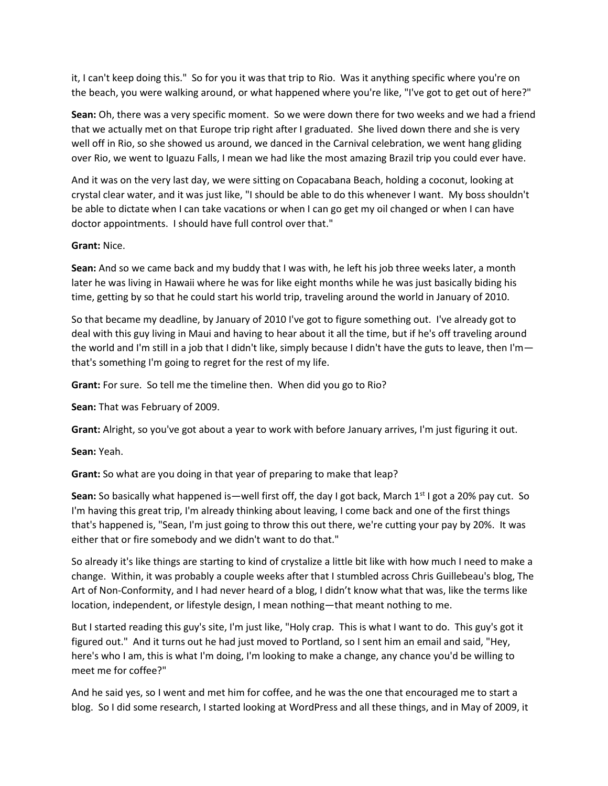it, I can't keep doing this." So for you it was that trip to Rio. Was it anything specific where you're on the beach, you were walking around, or what happened where you're like, "I've got to get out of here?"

**Sean:** Oh, there was a very specific moment. So we were down there for two weeks and we had a friend that we actually met on that Europe trip right after I graduated. She lived down there and she is very well off in Rio, so she showed us around, we danced in the Carnival celebration, we went hang gliding over Rio, we went to Iguazu Falls, I mean we had like the most amazing Brazil trip you could ever have.

And it was on the very last day, we were sitting on Copacabana Beach, holding a coconut, looking at crystal clear water, and it was just like, "I should be able to do this whenever I want. My boss shouldn't be able to dictate when I can take vacations or when I can go get my oil changed or when I can have doctor appointments. I should have full control over that."

### **Grant:** Nice.

**Sean:** And so we came back and my buddy that I was with, he left his job three weeks later, a month later he was living in Hawaii where he was for like eight months while he was just basically biding his time, getting by so that he could start his world trip, traveling around the world in January of 2010.

So that became my deadline, by January of 2010 I've got to figure something out. I've already got to deal with this guy living in Maui and having to hear about it all the time, but if he's off traveling around the world and I'm still in a job that I didn't like, simply because I didn't have the guts to leave, then I'm that's something I'm going to regret for the rest of my life.

**Grant:** For sure. So tell me the timeline then. When did you go to Rio?

**Sean:** That was February of 2009.

**Grant:** Alright, so you've got about a year to work with before January arrives, I'm just figuring it out.

**Sean:** Yeah.

**Grant:** So what are you doing in that year of preparing to make that leap?

**Sean:** So basically what happened is—well first off, the day I got back, March 1<sup>st</sup> I got a 20% pay cut. So I'm having this great trip, I'm already thinking about leaving, I come back and one of the first things that's happened is, "Sean, I'm just going to throw this out there, we're cutting your pay by 20%. It was either that or fire somebody and we didn't want to do that."

So already it's like things are starting to kind of crystalize a little bit like with how much I need to make a change. Within, it was probably a couple weeks after that I stumbled across Chris Guillebeau's blog, The Art of Non-Conformity, and I had never heard of a blog, I didn't know what that was, like the terms like location, independent, or lifestyle design, I mean nothing—that meant nothing to me.

But I started reading this guy's site, I'm just like, "Holy crap. This is what I want to do. This guy's got it figured out." And it turns out he had just moved to Portland, so I sent him an email and said, "Hey, here's who I am, this is what I'm doing, I'm looking to make a change, any chance you'd be willing to meet me for coffee?"

And he said yes, so I went and met him for coffee, and he was the one that encouraged me to start a blog. So I did some research, I started looking at WordPress and all these things, and in May of 2009, it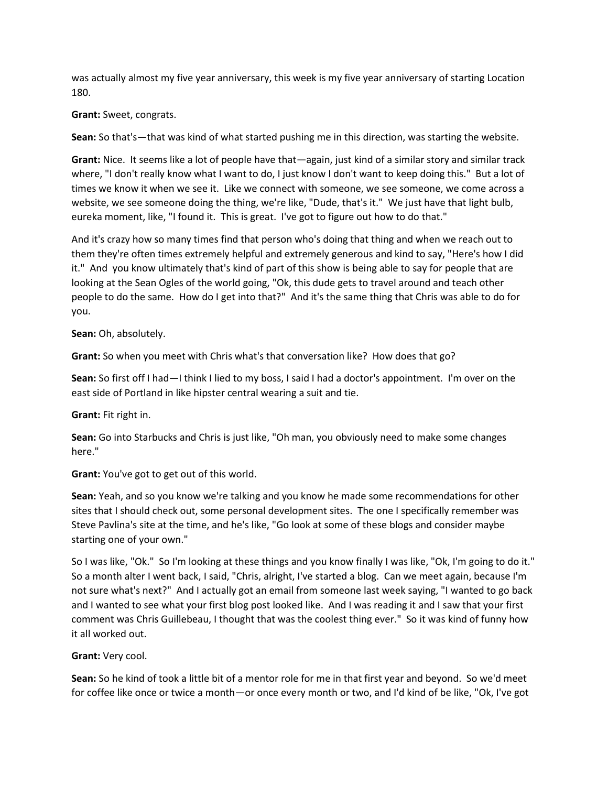was actually almost my five year anniversary, this week is my five year anniversary of starting Location 180.

**Grant:** Sweet, congrats.

**Sean:** So that's—that was kind of what started pushing me in this direction, was starting the website.

**Grant:** Nice. It seems like a lot of people have that—again, just kind of a similar story and similar track where, "I don't really know what I want to do, I just know I don't want to keep doing this." But a lot of times we know it when we see it. Like we connect with someone, we see someone, we come across a website, we see someone doing the thing, we're like, "Dude, that's it." We just have that light bulb, eureka moment, like, "I found it. This is great. I've got to figure out how to do that."

And it's crazy how so many times find that person who's doing that thing and when we reach out to them they're often times extremely helpful and extremely generous and kind to say, "Here's how I did it." And you know ultimately that's kind of part of this show is being able to say for people that are looking at the Sean Ogles of the world going, "Ok, this dude gets to travel around and teach other people to do the same. How do I get into that?" And it's the same thing that Chris was able to do for you.

**Sean:** Oh, absolutely.

**Grant:** So when you meet with Chris what's that conversation like? How does that go?

**Sean:** So first off I had—I think I lied to my boss, I said I had a doctor's appointment. I'm over on the east side of Portland in like hipster central wearing a suit and tie.

**Grant:** Fit right in.

**Sean:** Go into Starbucks and Chris is just like, "Oh man, you obviously need to make some changes here."

**Grant:** You've got to get out of this world.

**Sean:** Yeah, and so you know we're talking and you know he made some recommendations for other sites that I should check out, some personal development sites. The one I specifically remember was Steve Pavlina's site at the time, and he's like, "Go look at some of these blogs and consider maybe starting one of your own."

So I was like, "Ok." So I'm looking at these things and you know finally I was like, "Ok, I'm going to do it." So a month alter I went back, I said, "Chris, alright, I've started a blog. Can we meet again, because I'm not sure what's next?" And I actually got an email from someone last week saying, "I wanted to go back and I wanted to see what your first blog post looked like. And I was reading it and I saw that your first comment was Chris Guillebeau, I thought that was the coolest thing ever." So it was kind of funny how it all worked out.

### **Grant:** Very cool.

**Sean:** So he kind of took a little bit of a mentor role for me in that first year and beyond. So we'd meet for coffee like once or twice a month—or once every month or two, and I'd kind of be like, "Ok, I've got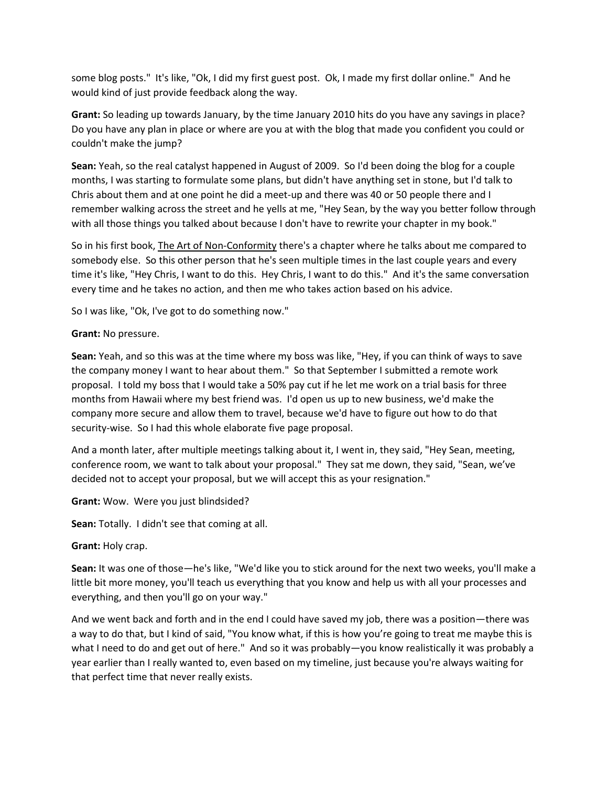some blog posts." It's like, "Ok, I did my first guest post. Ok, I made my first dollar online." And he would kind of just provide feedback along the way.

**Grant:** So leading up towards January, by the time January 2010 hits do you have any savings in place? Do you have any plan in place or where are you at with the blog that made you confident you could or couldn't make the jump?

**Sean:** Yeah, so the real catalyst happened in August of 2009. So I'd been doing the blog for a couple months, I was starting to formulate some plans, but didn't have anything set in stone, but I'd talk to Chris about them and at one point he did a meet-up and there was 40 or 50 people there and I remember walking across the street and he yells at me, "Hey Sean, by the way you better follow through with all those things you talked about because I don't have to rewrite your chapter in my book."

So in his first book, The Art of Non-Conformity there's a chapter where he talks about me compared to somebody else. So this other person that he's seen multiple times in the last couple years and every time it's like, "Hey Chris, I want to do this. Hey Chris, I want to do this." And it's the same conversation every time and he takes no action, and then me who takes action based on his advice.

So I was like, "Ok, I've got to do something now."

**Grant:** No pressure.

**Sean:** Yeah, and so this was at the time where my boss was like, "Hey, if you can think of ways to save the company money I want to hear about them." So that September I submitted a remote work proposal. I told my boss that I would take a 50% pay cut if he let me work on a trial basis for three months from Hawaii where my best friend was. I'd open us up to new business, we'd make the company more secure and allow them to travel, because we'd have to figure out how to do that security-wise. So I had this whole elaborate five page proposal.

And a month later, after multiple meetings talking about it, I went in, they said, "Hey Sean, meeting, conference room, we want to talk about your proposal." They sat me down, they said, "Sean, we've decided not to accept your proposal, but we will accept this as your resignation."

**Grant:** Wow. Were you just blindsided?

**Sean:** Totally. I didn't see that coming at all.

**Grant:** Holy crap.

**Sean:** It was one of those—he's like, "We'd like you to stick around for the next two weeks, you'll make a little bit more money, you'll teach us everything that you know and help us with all your processes and everything, and then you'll go on your way."

And we went back and forth and in the end I could have saved my job, there was a position—there was a way to do that, but I kind of said, "You know what, if this is how you're going to treat me maybe this is what I need to do and get out of here." And so it was probably—you know realistically it was probably a year earlier than I really wanted to, even based on my timeline, just because you're always waiting for that perfect time that never really exists.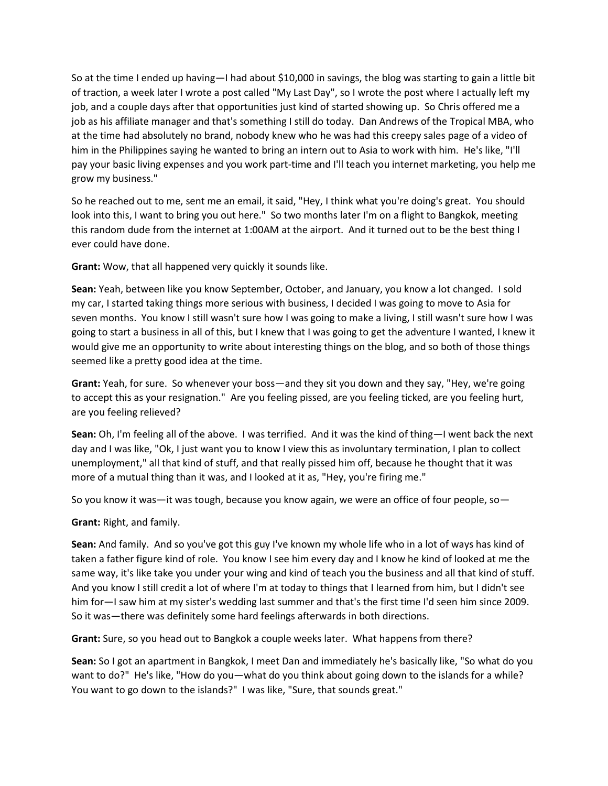So at the time I ended up having—I had about \$10,000 in savings, the blog was starting to gain a little bit of traction, a week later I wrote a post called "My Last Day", so I wrote the post where I actually left my job, and a couple days after that opportunities just kind of started showing up. So Chris offered me a job as his affiliate manager and that's something I still do today. Dan Andrews of the Tropical MBA, who at the time had absolutely no brand, nobody knew who he was had this creepy sales page of a video of him in the Philippines saying he wanted to bring an intern out to Asia to work with him. He's like, "I'll pay your basic living expenses and you work part-time and I'll teach you internet marketing, you help me grow my business."

So he reached out to me, sent me an email, it said, "Hey, I think what you're doing's great. You should look into this, I want to bring you out here." So two months later I'm on a flight to Bangkok, meeting this random dude from the internet at 1:00AM at the airport. And it turned out to be the best thing I ever could have done.

**Grant:** Wow, that all happened very quickly it sounds like.

**Sean:** Yeah, between like you know September, October, and January, you know a lot changed. I sold my car, I started taking things more serious with business, I decided I was going to move to Asia for seven months. You know I still wasn't sure how I was going to make a living, I still wasn't sure how I was going to start a business in all of this, but I knew that I was going to get the adventure I wanted, I knew it would give me an opportunity to write about interesting things on the blog, and so both of those things seemed like a pretty good idea at the time.

**Grant:** Yeah, for sure. So whenever your boss—and they sit you down and they say, "Hey, we're going to accept this as your resignation." Are you feeling pissed, are you feeling ticked, are you feeling hurt, are you feeling relieved?

**Sean:** Oh, I'm feeling all of the above. I was terrified. And it was the kind of thing—I went back the next day and I was like, "Ok, I just want you to know I view this as involuntary termination, I plan to collect unemployment," all that kind of stuff, and that really pissed him off, because he thought that it was more of a mutual thing than it was, and I looked at it as, "Hey, you're firing me."

So you know it was—it was tough, because you know again, we were an office of four people, so—

**Grant:** Right, and family.

**Sean:** And family. And so you've got this guy I've known my whole life who in a lot of ways has kind of taken a father figure kind of role. You know I see him every day and I know he kind of looked at me the same way, it's like take you under your wing and kind of teach you the business and all that kind of stuff. And you know I still credit a lot of where I'm at today to things that I learned from him, but I didn't see him for—I saw him at my sister's wedding last summer and that's the first time I'd seen him since 2009. So it was—there was definitely some hard feelings afterwards in both directions.

**Grant:** Sure, so you head out to Bangkok a couple weeks later. What happens from there?

**Sean:** So I got an apartment in Bangkok, I meet Dan and immediately he's basically like, "So what do you want to do?" He's like, "How do you—what do you think about going down to the islands for a while? You want to go down to the islands?" I was like, "Sure, that sounds great."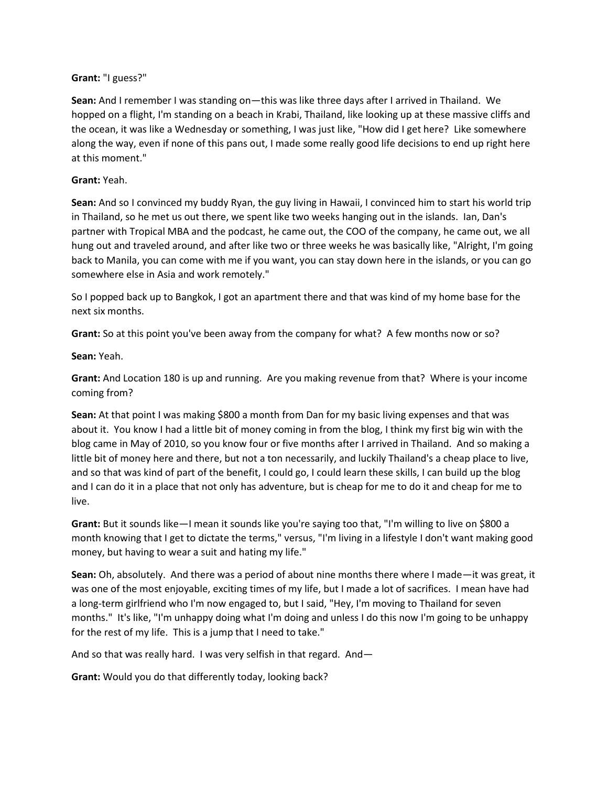### **Grant:** "I guess?"

**Sean:** And I remember I was standing on—this was like three days after I arrived in Thailand. We hopped on a flight, I'm standing on a beach in Krabi, Thailand, like looking up at these massive cliffs and the ocean, it was like a Wednesday or something, I was just like, "How did I get here? Like somewhere along the way, even if none of this pans out, I made some really good life decisions to end up right here at this moment."

### **Grant:** Yeah.

**Sean:** And so I convinced my buddy Ryan, the guy living in Hawaii, I convinced him to start his world trip in Thailand, so he met us out there, we spent like two weeks hanging out in the islands. Ian, Dan's partner with Tropical MBA and the podcast, he came out, the COO of the company, he came out, we all hung out and traveled around, and after like two or three weeks he was basically like, "Alright, I'm going back to Manila, you can come with me if you want, you can stay down here in the islands, or you can go somewhere else in Asia and work remotely."

So I popped back up to Bangkok, I got an apartment there and that was kind of my home base for the next six months.

**Grant:** So at this point you've been away from the company for what? A few months now or so?

**Sean:** Yeah.

**Grant:** And Location 180 is up and running. Are you making revenue from that? Where is your income coming from?

**Sean:** At that point I was making \$800 a month from Dan for my basic living expenses and that was about it. You know I had a little bit of money coming in from the blog, I think my first big win with the blog came in May of 2010, so you know four or five months after I arrived in Thailand. And so making a little bit of money here and there, but not a ton necessarily, and luckily Thailand's a cheap place to live, and so that was kind of part of the benefit, I could go, I could learn these skills, I can build up the blog and I can do it in a place that not only has adventure, but is cheap for me to do it and cheap for me to live.

**Grant:** But it sounds like—I mean it sounds like you're saying too that, "I'm willing to live on \$800 a month knowing that I get to dictate the terms," versus, "I'm living in a lifestyle I don't want making good money, but having to wear a suit and hating my life."

**Sean:** Oh, absolutely. And there was a period of about nine months there where I made—it was great, it was one of the most enjoyable, exciting times of my life, but I made a lot of sacrifices. I mean have had a long-term girlfriend who I'm now engaged to, but I said, "Hey, I'm moving to Thailand for seven months." It's like, "I'm unhappy doing what I'm doing and unless I do this now I'm going to be unhappy for the rest of my life. This is a jump that I need to take."

And so that was really hard. I was very selfish in that regard. And—

**Grant:** Would you do that differently today, looking back?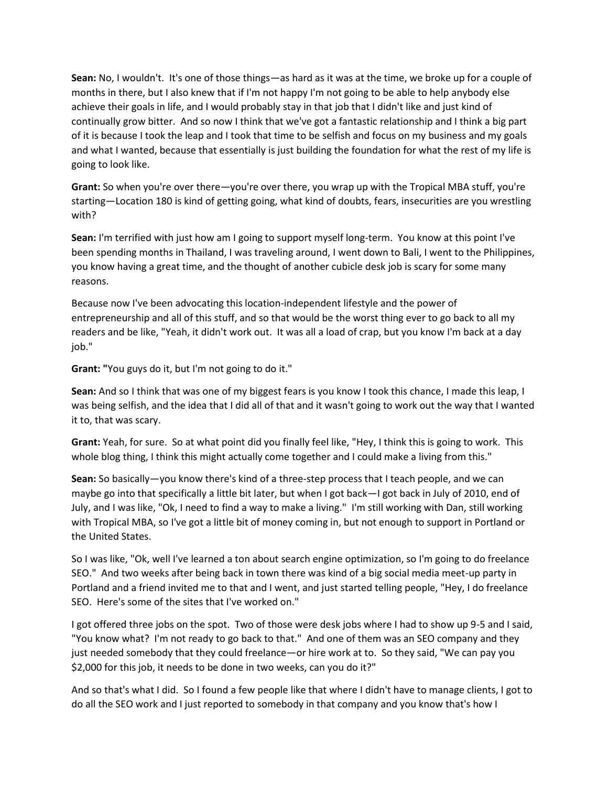**Sean:** No, I wouldn't. It's one of those things—as hard as it was at the time, we broke up for a couple of months in there, but I also knew that if I'm not happy I'm not going to be able to help anybody else achieve their goals in life, and I would probably stay in that job that I didn't like and just kind of continually grow bitter. And so now I think that we've got a fantastic relationship and I think a big part of it is because I took the leap and I took that time to be selfish and focus on my business and my goals and what I wanted, because that essentially is just building the foundation for what the rest of my life is going to look like.

**Grant:** So when you're over there—you're over there, you wrap up with the Tropical MBA stuff, you're starting—Location 180 is kind of getting going, what kind of doubts, fears, insecurities are you wrestling with?

**Sean:** I'm terrified with just how am I going to support myself long-term. You know at this point I've been spending months in Thailand, I was traveling around, I went down to Bali, I went to the Philippines, you know having a great time, and the thought of another cubicle desk job is scary for some many reasons.

Because now I've been advocating this location-independent lifestyle and the power of entrepreneurship and all of this stuff, and so that would be the worst thing ever to go back to all my readers and be like, "Yeah, it didn't work out. It was all a load of crap, but you know I'm back at a day iob."

**Grant: "**You guys do it, but I'm not going to do it."

**Sean:** And so I think that was one of my biggest fears is you know I took this chance, I made this leap, I was being selfish, and the idea that I did all of that and it wasn't going to work out the way that I wanted it to, that was scary.

**Grant:** Yeah, for sure. So at what point did you finally feel like, "Hey, I think this is going to work. This whole blog thing, I think this might actually come together and I could make a living from this."

**Sean:** So basically—you know there's kind of a three-step process that I teach people, and we can maybe go into that specifically a little bit later, but when I got back—I got back in July of 2010, end of July, and I was like, "Ok, I need to find a way to make a living." I'm still working with Dan, still working with Tropical MBA, so I've got a little bit of money coming in, but not enough to support in Portland or the United States.

So I was like, "Ok, well I've learned a ton about search engine optimization, so I'm going to do freelance SEO." And two weeks after being back in town there was kind of a big social media meet-up party in Portland and a friend invited me to that and I went, and just started telling people, "Hey, I do freelance SEO. Here's some of the sites that I've worked on."

I got offered three jobs on the spot. Two of those were desk jobs where I had to show up 9-5 and I said, "You know what? I'm not ready to go back to that." And one of them was an SEO company and they just needed somebody that they could freelance—or hire work at to. So they said, "We can pay you \$2,000 for this job, it needs to be done in two weeks, can you do it?"

And so that's what I did. So I found a few people like that where I didn't have to manage clients, I got to do all the SEO work and I just reported to somebody in that company and you know that's how I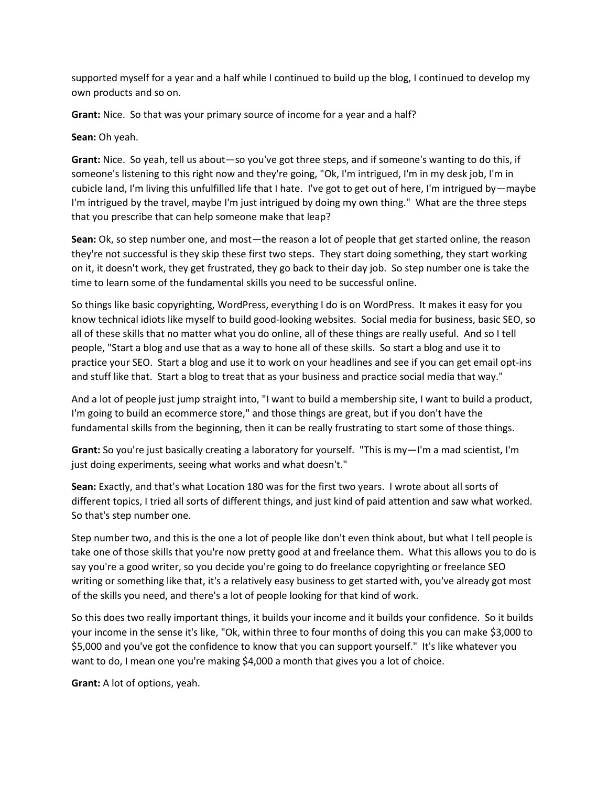supported myself for a year and a half while I continued to build up the blog, I continued to develop my own products and so on.

**Grant:** Nice. So that was your primary source of income for a year and a half?

**Sean:** Oh yeah.

**Grant:** Nice. So yeah, tell us about—so you've got three steps, and if someone's wanting to do this, if someone's listening to this right now and they're going, "Ok, I'm intrigued, I'm in my desk job, I'm in cubicle land, I'm living this unfulfilled life that I hate. I've got to get out of here, I'm intrigued by—maybe I'm intrigued by the travel, maybe I'm just intrigued by doing my own thing." What are the three steps that you prescribe that can help someone make that leap?

**Sean:** Ok, so step number one, and most—the reason a lot of people that get started online, the reason they're not successful is they skip these first two steps. They start doing something, they start working on it, it doesn't work, they get frustrated, they go back to their day job. So step number one is take the time to learn some of the fundamental skills you need to be successful online.

So things like basic copyrighting, WordPress, everything I do is on WordPress. It makes it easy for you know technical idiots like myself to build good-looking websites. Social media for business, basic SEO, so all of these skills that no matter what you do online, all of these things are really useful. And so I tell people, "Start a blog and use that as a way to hone all of these skills. So start a blog and use it to practice your SEO. Start a blog and use it to work on your headlines and see if you can get email opt-ins and stuff like that. Start a blog to treat that as your business and practice social media that way."

And a lot of people just jump straight into, "I want to build a membership site, I want to build a product, I'm going to build an ecommerce store," and those things are great, but if you don't have the fundamental skills from the beginning, then it can be really frustrating to start some of those things.

**Grant:** So you're just basically creating a laboratory for yourself. "This is my—I'm a mad scientist, I'm just doing experiments, seeing what works and what doesn't."

**Sean:** Exactly, and that's what Location 180 was for the first two years. I wrote about all sorts of different topics, I tried all sorts of different things, and just kind of paid attention and saw what worked. So that's step number one.

Step number two, and this is the one a lot of people like don't even think about, but what I tell people is take one of those skills that you're now pretty good at and freelance them. What this allows you to do is say you're a good writer, so you decide you're going to do freelance copyrighting or freelance SEO writing or something like that, it's a relatively easy business to get started with, you've already got most of the skills you need, and there's a lot of people looking for that kind of work.

So this does two really important things, it builds your income and it builds your confidence. So it builds your income in the sense it's like, "Ok, within three to four months of doing this you can make \$3,000 to \$5,000 and you've got the confidence to know that you can support yourself." It's like whatever you want to do, I mean one you're making \$4,000 a month that gives you a lot of choice.

**Grant:** A lot of options, yeah.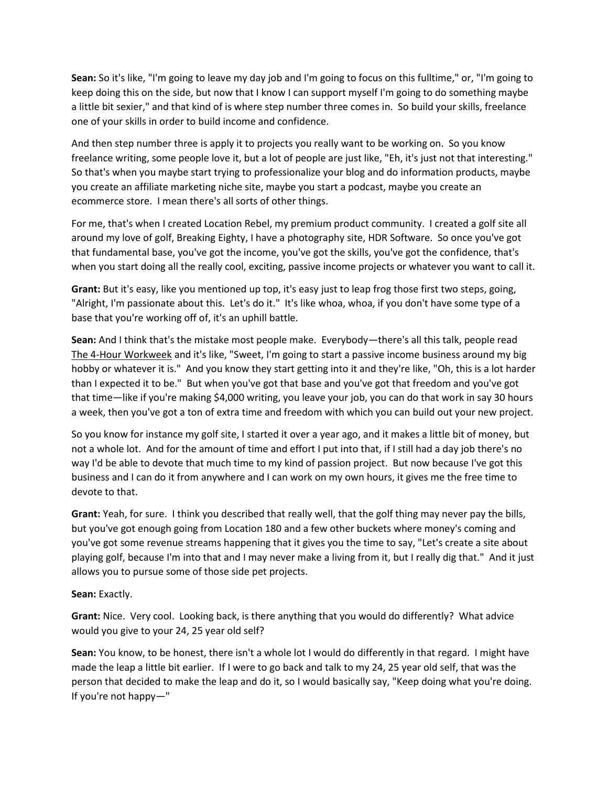**Sean:** So it's like, "I'm going to leave my day job and I'm going to focus on this fulltime," or, "I'm going to keep doing this on the side, but now that I know I can support myself I'm going to do something maybe a little bit sexier," and that kind of is where step number three comes in. So build your skills, freelance one of your skills in order to build income and confidence.

And then step number three is apply it to projects you really want to be working on. So you know freelance writing, some people love it, but a lot of people are just like, "Eh, it's just not that interesting." So that's when you maybe start trying to professionalize your blog and do information products, maybe you create an affiliate marketing niche site, maybe you start a podcast, maybe you create an ecommerce store. I mean there's all sorts of other things.

For me, that's when I created Location Rebel, my premium product community. I created a golf site all around my love of golf, Breaking Eighty, I have a photography site, HDR Software. So once you've got that fundamental base, you've got the income, you've got the skills, you've got the confidence, that's when you start doing all the really cool, exciting, passive income projects or whatever you want to call it.

**Grant:** But it's easy, like you mentioned up top, it's easy just to leap frog those first two steps, going, "Alright, I'm passionate about this. Let's do it." It's like whoa, whoa, if you don't have some type of a base that you're working off of, it's an uphill battle.

**Sean:** And I think that's the mistake most people make. Everybody—there's all this talk, people read The 4-Hour Workweek and it's like, "Sweet, I'm going to start a passive income business around my big hobby or whatever it is." And you know they start getting into it and they're like, "Oh, this is a lot harder than I expected it to be." But when you've got that base and you've got that freedom and you've got that time—like if you're making \$4,000 writing, you leave your job, you can do that work in say 30 hours a week, then you've got a ton of extra time and freedom with which you can build out your new project.

So you know for instance my golf site, I started it over a year ago, and it makes a little bit of money, but not a whole lot. And for the amount of time and effort I put into that, if I still had a day job there's no way I'd be able to devote that much time to my kind of passion project. But now because I've got this business and I can do it from anywhere and I can work on my own hours, it gives me the free time to devote to that.

**Grant:** Yeah, for sure. I think you described that really well, that the golf thing may never pay the bills, but you've got enough going from Location 180 and a few other buckets where money's coming and you've got some revenue streams happening that it gives you the time to say, "Let's create a site about playing golf, because I'm into that and I may never make a living from it, but I really dig that." And it just allows you to pursue some of those side pet projects.

**Sean:** Exactly.

**Grant:** Nice. Very cool. Looking back, is there anything that you would do differently? What advice would you give to your 24, 25 year old self?

**Sean:** You know, to be honest, there isn't a whole lot I would do differently in that regard. I might have made the leap a little bit earlier. If I were to go back and talk to my 24, 25 year old self, that was the person that decided to make the leap and do it, so I would basically say, "Keep doing what you're doing. If you're not happy—"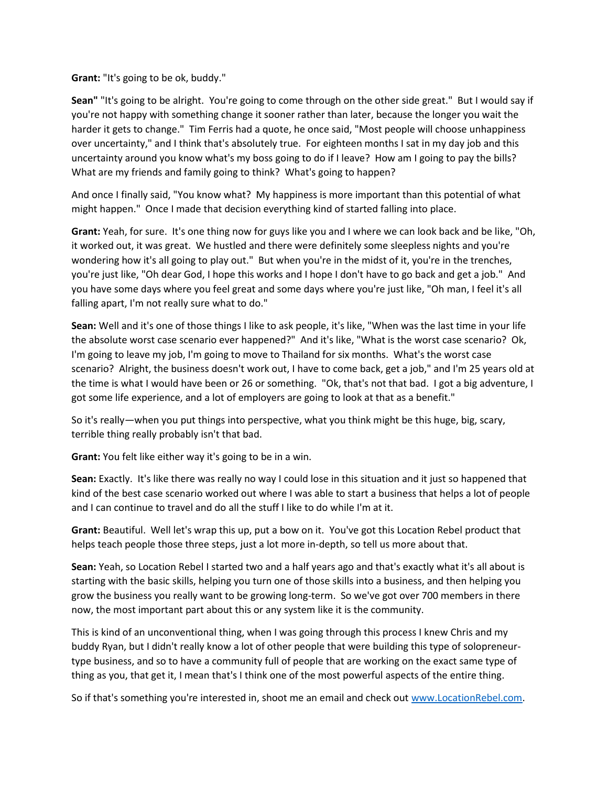**Grant:** "It's going to be ok, buddy."

**Sean"** "It's going to be alright. You're going to come through on the other side great." But I would say if you're not happy with something change it sooner rather than later, because the longer you wait the harder it gets to change." Tim Ferris had a quote, he once said, "Most people will choose unhappiness over uncertainty," and I think that's absolutely true. For eighteen months I sat in my day job and this uncertainty around you know what's my boss going to do if I leave? How am I going to pay the bills? What are my friends and family going to think? What's going to happen?

And once I finally said, "You know what? My happiness is more important than this potential of what might happen." Once I made that decision everything kind of started falling into place.

**Grant:** Yeah, for sure. It's one thing now for guys like you and I where we can look back and be like, "Oh, it worked out, it was great. We hustled and there were definitely some sleepless nights and you're wondering how it's all going to play out." But when you're in the midst of it, you're in the trenches, you're just like, "Oh dear God, I hope this works and I hope I don't have to go back and get a job." And you have some days where you feel great and some days where you're just like, "Oh man, I feel it's all falling apart, I'm not really sure what to do."

**Sean:** Well and it's one of those things I like to ask people, it's like, "When was the last time in your life the absolute worst case scenario ever happened?" And it's like, "What is the worst case scenario? Ok, I'm going to leave my job, I'm going to move to Thailand for six months. What's the worst case scenario? Alright, the business doesn't work out, I have to come back, get a job," and I'm 25 years old at the time is what I would have been or 26 or something. "Ok, that's not that bad. I got a big adventure, I got some life experience, and a lot of employers are going to look at that as a benefit."

So it's really—when you put things into perspective, what you think might be this huge, big, scary, terrible thing really probably isn't that bad.

**Grant:** You felt like either way it's going to be in a win.

**Sean:** Exactly. It's like there was really no way I could lose in this situation and it just so happened that kind of the best case scenario worked out where I was able to start a business that helps a lot of people and I can continue to travel and do all the stuff I like to do while I'm at it.

**Grant:** Beautiful. Well let's wrap this up, put a bow on it. You've got this Location Rebel product that helps teach people those three steps, just a lot more in-depth, so tell us more about that.

**Sean:** Yeah, so Location Rebel I started two and a half years ago and that's exactly what it's all about is starting with the basic skills, helping you turn one of those skills into a business, and then helping you grow the business you really want to be growing long-term. So we've got over 700 members in there now, the most important part about this or any system like it is the community.

This is kind of an unconventional thing, when I was going through this process I knew Chris and my buddy Ryan, but I didn't really know a lot of other people that were building this type of solopreneurtype business, and so to have a community full of people that are working on the exact same type of thing as you, that get it, I mean that's I think one of the most powerful aspects of the entire thing.

So if that's something you're interested in, shoot me an email and check out [www.LocationRebel.com.](http://www.locationrebel.com/)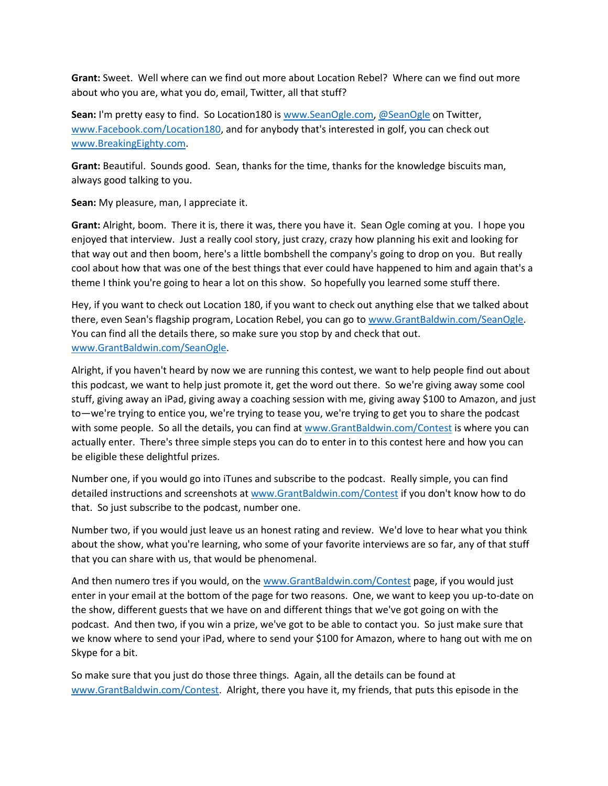**Grant:** Sweet. Well where can we find out more about Location Rebel? Where can we find out more about who you are, what you do, email, Twitter, all that stuff?

**Sean:** I'm pretty easy to find. So Location180 i[s www.SeanOgle.com,](http://www.seanogle.com/) [@SeanOgle](http://www.twitter.com/SeanOgle) on Twitter, [www.Facebook.com/Location180,](http://www.facebook.com/Location180) and for anybody that's interested in golf, you can check out [www.BreakingEighty.com.](http://www.breakingeighty.com/)

**Grant:** Beautiful. Sounds good. Sean, thanks for the time, thanks for the knowledge biscuits man, always good talking to you.

**Sean:** My pleasure, man, I appreciate it.

**Grant:** Alright, boom. There it is, there it was, there you have it. Sean Ogle coming at you. I hope you enjoyed that interview. Just a really cool story, just crazy, crazy how planning his exit and looking for that way out and then boom, here's a little bombshell the company's going to drop on you. But really cool about how that was one of the best things that ever could have happened to him and again that's a theme I think you're going to hear a lot on this show. So hopefully you learned some stuff there.

Hey, if you want to check out Location 180, if you want to check out anything else that we talked about there, even Sean's flagship program, Location Rebel, you can go to [www.GrantBaldwin.com/SeanOgle.](http://www.grantbaldwin.com/SeanOgle) You can find all the details there, so make sure you stop by and check that out. [www.GrantBaldwin.com/SeanOgle.](http://www.grantbaldwin.com/SeanOgle)

Alright, if you haven't heard by now we are running this contest, we want to help people find out about this podcast, we want to help just promote it, get the word out there. So we're giving away some cool stuff, giving away an iPad, giving away a coaching session with me, giving away \$100 to Amazon, and just to—we're trying to entice you, we're trying to tease you, we're trying to get you to share the podcast with some people. So all the details, you can find a[t www.GrantBaldwin.com/Contest](http://www.grantbaldwin.com/Contest) is where you can actually enter. There's three simple steps you can do to enter in to this contest here and how you can be eligible these delightful prizes.

Number one, if you would go into iTunes and subscribe to the podcast. Really simple, you can find detailed instructions and screenshots at [www.GrantBaldwin.com/Contest](http://www.grantbaldwin.com/Contest) if you don't know how to do that. So just subscribe to the podcast, number one.

Number two, if you would just leave us an honest rating and review. We'd love to hear what you think about the show, what you're learning, who some of your favorite interviews are so far, any of that stuff that you can share with us, that would be phenomenal.

And then numero tres if you would, on the [www.GrantBaldwin.com/Contest](http://www.grantbaldwin.com/Contest) page, if you would just enter in your email at the bottom of the page for two reasons. One, we want to keep you up-to-date on the show, different guests that we have on and different things that we've got going on with the podcast. And then two, if you win a prize, we've got to be able to contact you. So just make sure that we know where to send your iPad, where to send your \$100 for Amazon, where to hang out with me on Skype for a bit.

So make sure that you just do those three things. Again, all the details can be found at [www.GrantBaldwin.com/Contest.](http://www.grantbaldwin.com/Contest) Alright, there you have it, my friends, that puts this episode in the